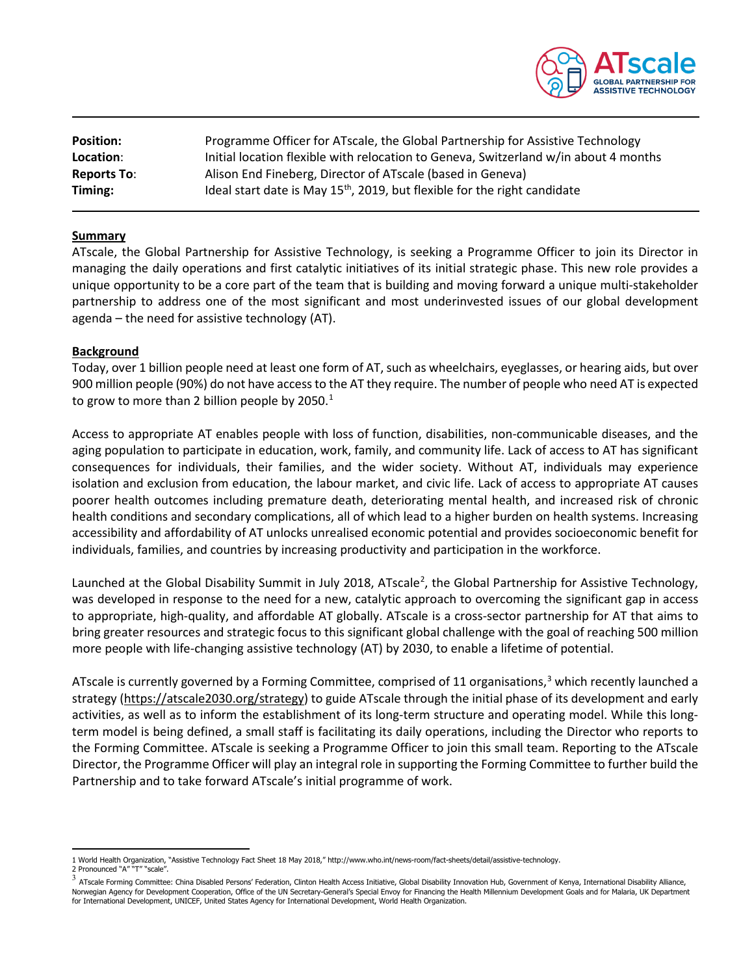

| <b>Position:</b>   | Programme Officer for ATscale, the Global Partnership for Assistive Technology        |
|--------------------|---------------------------------------------------------------------------------------|
| Location:          | Initial location flexible with relocation to Geneva, Switzerland w/in about 4 months  |
| <b>Reports To:</b> | Alison End Fineberg, Director of ATscale (based in Geneva)                            |
| Timing:            | Ideal start date is May 15 <sup>th</sup> , 2019, but flexible for the right candidate |

#### **Summary**

ATscale, the Global Partnership for Assistive Technology, is seeking a Programme Officer to join its Director in managing the daily operations and first catalytic initiatives of its initial strategic phase. This new role provides a unique opportunity to be a core part of the team that is building and moving forward a unique multi-stakeholder partnership to address one of the most significant and most underinvested issues of our global development agenda – the need for assistive technology (AT).

#### **Background**

Today, over 1 billion people need at least one form of AT, such as wheelchairs, eyeglasses, or hearing aids, but over 900 million people (90%) do not have accessto the AT they require. The number of people who need AT is expected to grow to more than 2 billion people by  $2050.<sup>1</sup>$  $2050.<sup>1</sup>$  $2050.<sup>1</sup>$ 

Access to appropriate AT enables people with loss of function, disabilities, non-communicable diseases, and the aging population to participate in education, work, family, and community life. Lack of access to AT has significant consequences for individuals, their families, and the wider society. Without AT, individuals may experience isolation and exclusion from education, the labour market, and civic life. Lack of access to appropriate AT causes poorer health outcomes including premature death, deteriorating mental health, and increased risk of chronic health conditions and secondary complications, all of which lead to a higher burden on health systems. Increasing accessibility and affordability of AT unlocks unrealised economic potential and provides socioeconomic benefit for individuals, families, and countries by increasing productivity and participation in the workforce.

Launched at the Global Disability Summit in July [2](#page-0-1)018, ATscale<sup>2</sup>, the Global Partnership for Assistive Technology, was developed in response to the need for a new, catalytic approach to overcoming the significant gap in access to appropriate, high-quality, and affordable AT globally. ATscale is a cross-sector partnership for AT that aims to bring greater resources and strategic focus to this significant global challenge with the goal of reaching 500 million more people with life-changing assistive technology (AT) by 2030, to enable a lifetime of potential.

ATscale is currently governed by a Forming Committee, comprised of 11 organisations,<sup>[3](#page-0-2)</sup> which recently launched a strategy [\(https://atscale2030.org/strategy\)](https://atscale2030.org/strategy) to guide ATscale through the initial phase of its development and early activities, as well as to inform the establishment of its long-term structure and operating model. While this longterm model is being defined, a small staff is facilitating its daily operations, including the Director who reports to the Forming Committee. ATscale is seeking a Programme Officer to join this small team. Reporting to the ATscale Director, the Programme Officer will play an integral role in supporting the Forming Committee to further build the Partnership and to take forward ATscale's initial programme of work.

<span id="page-0-0"></span>1 World Health Organization, "Assistive Technology Fact Sheet 18 May 2018," http://www.who.int/news-room/fact-sheets/detail/assistive-technology. 2 Pronounced "A" "T" "scale".

<span id="page-0-2"></span><span id="page-0-1"></span> $^3$  ATscale Forming Committee: China Disabled Persons' Federation, Clinton Health Access Initiative, Global Disability Innovation Hub, Government of Kenya, International Disability Alliance, Norwegian Agency for Development Cooperation, Office of the UN Secretary-General's Special Envoy for Financing the Health Millennium Development Goals and for Malaria, UK Department for International Development, UNICEF, United States Agency for International Development, World Health Organization.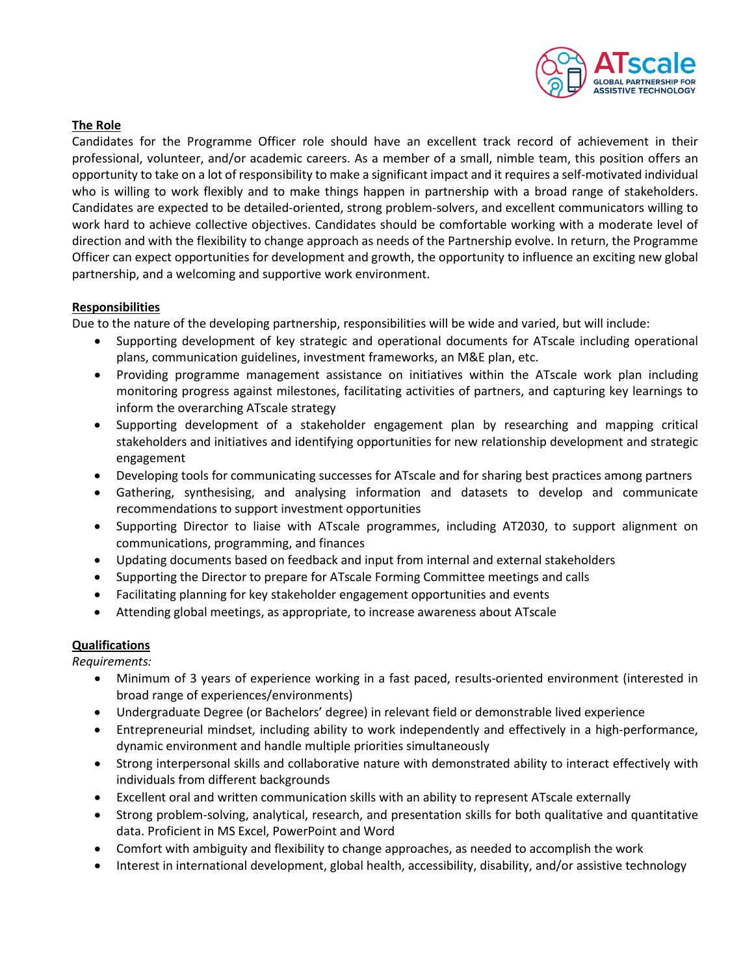

# **The Role**

Candidates for the Programme Officer role should have an excellent track record of achievement in their professional, volunteer, and/or academic careers. As a member of a small, nimble team, this position offers an opportunity to take on a lot of responsibility to make a significant impact and it requires a self-motivated individual who is willing to work flexibly and to make things happen in partnership with a broad range of stakeholders. Candidates are expected to be detailed-oriented, strong problem-solvers, and excellent communicators willing to work hard to achieve collective objectives. Candidates should be comfortable working with a moderate level of direction and with the flexibility to change approach as needs of the Partnership evolve. In return, the Programme Officer can expect opportunities for development and growth, the opportunity to influence an exciting new global partnership, and a welcoming and supportive work environment.

## **Responsibilities**

Due to the nature of the developing partnership, responsibilities will be wide and varied, but will include:

- Supporting development of key strategic and operational documents for ATscale including operational plans, communication guidelines, investment frameworks, an M&E plan, etc.
- Providing programme management assistance on initiatives within the ATscale work plan including monitoring progress against milestones, facilitating activities of partners, and capturing key learnings to inform the overarching ATscale strategy
- Supporting development of a stakeholder engagement plan by researching and mapping critical stakeholders and initiatives and identifying opportunities for new relationship development and strategic engagement
- Developing tools for communicating successes for ATscale and for sharing best practices among partners
- Gathering, synthesising, and analysing information and datasets to develop and communicate recommendations to support investment opportunities
- Supporting Director to liaise with ATscale programmes, including AT2030, to support alignment on communications, programming, and finances
- Updating documents based on feedback and input from internal and external stakeholders
- Supporting the Director to prepare for ATscale Forming Committee meetings and calls
- Facilitating planning for key stakeholder engagement opportunities and events
- Attending global meetings, as appropriate, to increase awareness about ATscale

## **Qualifications**

## *Requirements:*

- Minimum of 3 years of experience working in a fast paced, results-oriented environment (interested in broad range of experiences/environments)
- Undergraduate Degree (or Bachelors' degree) in relevant field or demonstrable lived experience
- Entrepreneurial mindset, including ability to work independently and effectively in a high-performance, dynamic environment and handle multiple priorities simultaneously
- Strong interpersonal skills and collaborative nature with demonstrated ability to interact effectively with individuals from different backgrounds
- Excellent oral and written communication skills with an ability to represent ATscale externally
- Strong problem-solving, analytical, research, and presentation skills for both qualitative and quantitative data. Proficient in MS Excel, PowerPoint and Word
- Comfort with ambiguity and flexibility to change approaches, as needed to accomplish the work
- Interest in international development, global health, accessibility, disability, and/or assistive technology